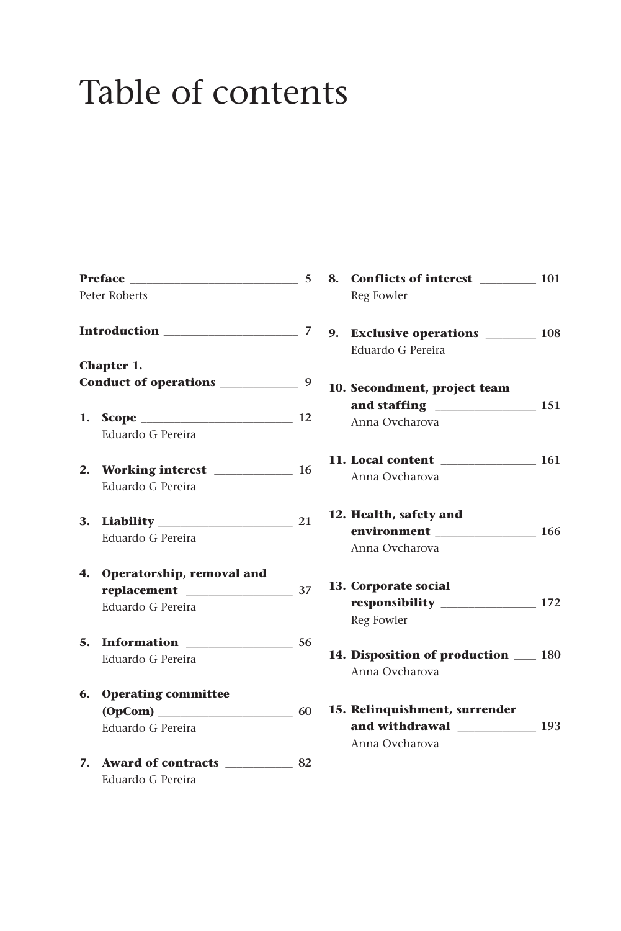## Table of contents

| <b>Preface Example 2016</b> |                              |  |  |
|-----------------------------|------------------------------|--|--|
|                             | Peter Roberts                |  |  |
|                             |                              |  |  |
|                             | Chapter 1.                   |  |  |
|                             |                              |  |  |
|                             | 1. Scope $\qquad \qquad$ 12  |  |  |
|                             | Eduardo G Pereira            |  |  |
|                             | 2. Working interest 16       |  |  |
|                             | Eduardo G Pereira            |  |  |
| 3.                          | Liability 21                 |  |  |
|                             | Eduardo G Pereira            |  |  |
|                             | 4. Operatorship, removal and |  |  |
|                             |                              |  |  |
|                             | Eduardo G Pereira            |  |  |
| 5.                          | Information 56               |  |  |
|                             | Eduardo G Pereira            |  |  |
| 6.                          | <b>Operating committee</b>   |  |  |
|                             |                              |  |  |
|                             | Eduardo G Pereira            |  |  |
| 7.                          | Award of contracts 82        |  |  |
|                             | Eduardo G Pereira            |  |  |
|                             |                              |  |  |

|                              | 8. Conflicts of interest ________ 101 |  |  |  |  |
|------------------------------|---------------------------------------|--|--|--|--|
|                              | Reg Fowler                            |  |  |  |  |
|                              |                                       |  |  |  |  |
|                              | 9. Exclusive operations _______ 108   |  |  |  |  |
|                              | Eduardo G Pereira                     |  |  |  |  |
| 10. Secondment, project team |                                       |  |  |  |  |
|                              |                                       |  |  |  |  |
|                              | Anna Ovcharova                        |  |  |  |  |
|                              | 11. Local content 161                 |  |  |  |  |
|                              | Anna Ovcharova                        |  |  |  |  |
| 12. Health, safety and       |                                       |  |  |  |  |
|                              | environment ________________ 166      |  |  |  |  |
|                              | Anna Ovcharova                        |  |  |  |  |
|                              | 13. Corporate social                  |  |  |  |  |
|                              |                                       |  |  |  |  |
|                              | Reg Fowler                            |  |  |  |  |
|                              | 14. Disposition of production 180     |  |  |  |  |
|                              | Anna Ovcharova                        |  |  |  |  |
|                              | 15. Relinquishment, surrender         |  |  |  |  |
|                              |                                       |  |  |  |  |
|                              | Anna Ovcharova                        |  |  |  |  |